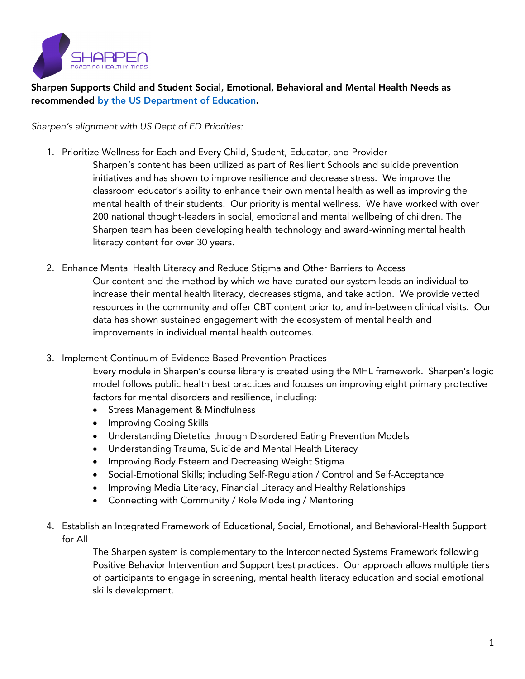

Sharpen Supports Child and Student Social, Emotional, Behavioral and Mental Health Needs as recommended by the US Department of Education.

*Sharpen's alignment with US Dept of ED Priorities:*

- 1. Prioritize Wellness for Each and Every Child, Student, Educator, and Provider Sharpen's content has been utilized as part of Resilient Schools and suicide prevention initiatives and has shown to improve resilience and decrease stress. We improve the classroom educator's ability to enhance their own mental health as well as improving the mental health of their students. Our priority is mental wellness. We have worked with over 200 national thought-leaders in social, emotional and mental wellbeing of children. The Sharpen team has been developing health technology and award-winning mental health literacy content for over 30 years.
- 2. Enhance Mental Health Literacy and Reduce Stigma and Other Barriers to Access Our content and the method by which we have curated our system leads an individual to increase their mental health literacy, decreases stigma, and take action. We provide vetted resources in the community and offer CBT content prior to, and in-between clinical visits. Our data has shown sustained engagement with the ecosystem of mental health and improvements in individual mental health outcomes.
- 3. Implement Continuum of Evidence-Based Prevention Practices

Every module in Sharpen's course library is created using the MHL framework. Sharpen's logic model follows public health best practices and focuses on improving eight primary protective factors for mental disorders and resilience, including:

- Stress Management & Mindfulness
- Improving Coping Skills
- Understanding Dietetics through Disordered Eating Prevention Models
- Understanding Trauma, Suicide and Mental Health Literacy
- Improving Body Esteem and Decreasing Weight Stigma
- Social-Emotional Skills; including Self-Regulation / Control and Self-Acceptance
- Improving Media Literacy, Financial Literacy and Healthy Relationships
- Connecting with Community / Role Modeling / Mentoring
- 4. Establish an Integrated Framework of Educational, Social, Emotional, and Behavioral-Health Support for All

The Sharpen system is complementary to the Interconnected Systems Framework following Positive Behavior Intervention and Support best practices. Our approach allows multiple tiers of participants to engage in screening, mental health literacy education and social emotional skills development.